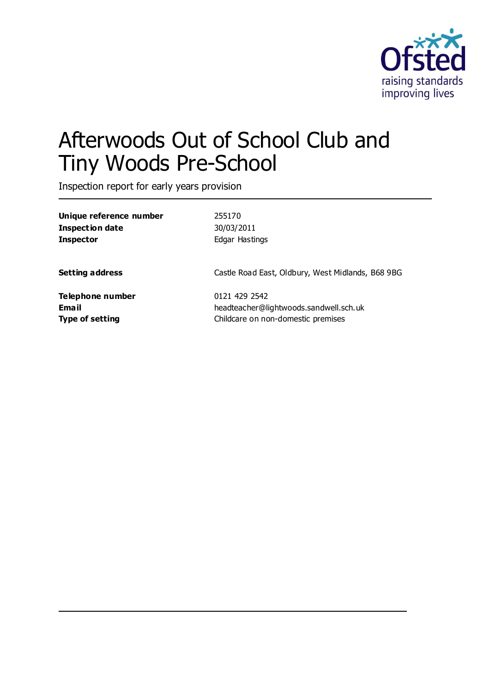

# Afterwoods Out of School Club and Tiny Woods Pre-School

Inspection report for early years provision

| Unique reference number | 255170                                            |
|-------------------------|---------------------------------------------------|
| <b>Inspection date</b>  | 30/03/2011                                        |
| <b>Inspector</b>        | Edgar Hastings                                    |
| <b>Setting address</b>  | Castle Road East, Oldbury, West Midlands, B68 9BG |
| Telephone number        | 0121 429 2542                                     |
| <b>Email</b>            | headteacher@lightwoods.sandwell.sch.uk            |
| <b>Type of setting</b>  | Childcare on non-domestic premises                |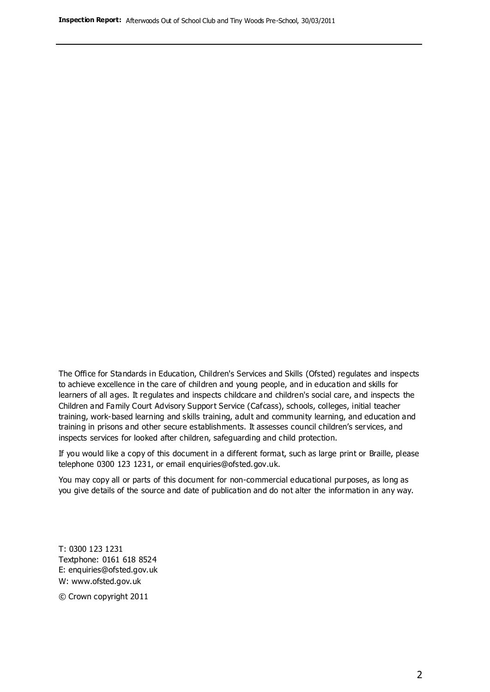The Office for Standards in Education, Children's Services and Skills (Ofsted) regulates and inspects to achieve excellence in the care of children and young people, and in education and skills for learners of all ages. It regulates and inspects childcare and children's social care, and inspects the Children and Family Court Advisory Support Service (Cafcass), schools, colleges, initial teacher training, work-based learning and skills training, adult and community learning, and education and training in prisons and other secure establishments. It assesses council children's services, and inspects services for looked after children, safeguarding and child protection.

If you would like a copy of this document in a different format, such as large print or Braille, please telephone 0300 123 1231, or email enquiries@ofsted.gov.uk.

You may copy all or parts of this document for non-commercial educational purposes, as long as you give details of the source and date of publication and do not alter the information in any way.

T: 0300 123 1231 Textphone: 0161 618 8524 E: enquiries@ofsted.gov.uk W: [www.ofsted.gov.uk](http://www.ofsted.gov.uk/)

© Crown copyright 2011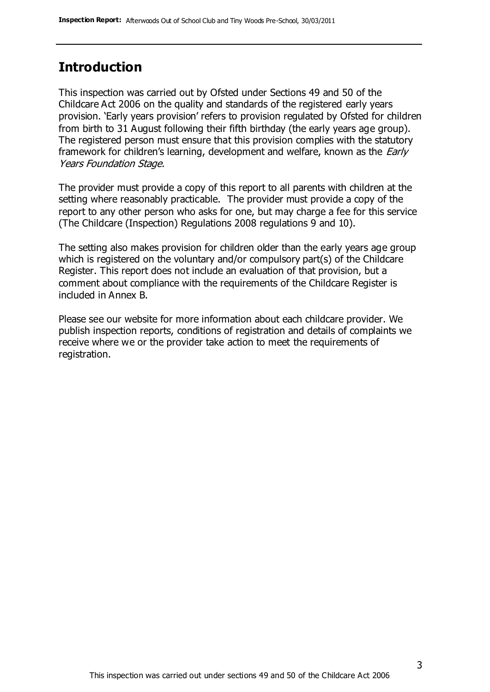#### **Introduction**

This inspection was carried out by Ofsted under Sections 49 and 50 of the Childcare Act 2006 on the quality and standards of the registered early years provision. 'Early years provision' refers to provision regulated by Ofsted for children from birth to 31 August following their fifth birthday (the early years age group). The registered person must ensure that this provision complies with the statutory framework for children's learning, development and welfare, known as the *Early* Years Foundation Stage.

The provider must provide a copy of this report to all parents with children at the setting where reasonably practicable. The provider must provide a copy of the report to any other person who asks for one, but may charge a fee for this service (The Childcare (Inspection) Regulations 2008 regulations 9 and 10).

The setting also makes provision for children older than the early years age group which is registered on the voluntary and/or compulsory part(s) of the Childcare Register. This report does not include an evaluation of that provision, but a comment about compliance with the requirements of the Childcare Register is included in Annex B.

Please see our website for more information about each childcare provider. We publish inspection reports, conditions of registration and details of complaints we receive where we or the provider take action to meet the requirements of registration.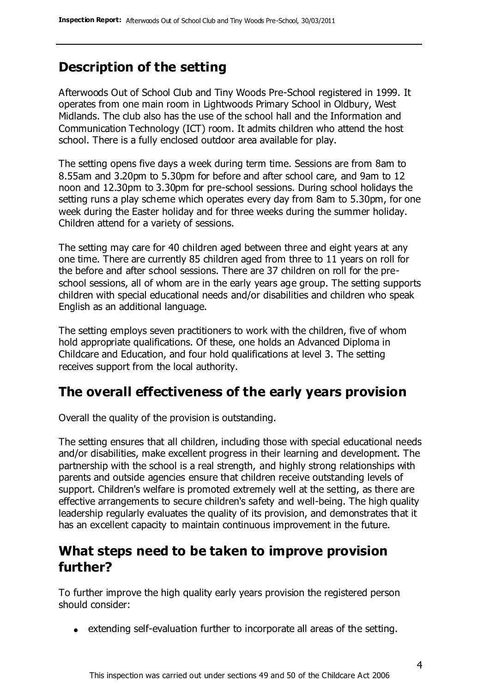# **Description of the setting**

Afterwoods Out of School Club and Tiny Woods Pre-School registered in 1999. It operates from one main room in Lightwoods Primary School in Oldbury, West Midlands. The club also has the use of the school hall and the Information and Communication Technology (ICT) room. It admits children who attend the host school. There is a fully enclosed outdoor area available for play.

The setting opens five days a week during term time. Sessions are from 8am to 8.55am and 3.20pm to 5.30pm for before and after school care, and 9am to 12 noon and 12.30pm to 3.30pm for pre-school sessions. During school holidays the setting runs a play scheme which operates every day from 8am to 5.30pm, for one week during the Easter holiday and for three weeks during the summer holiday. Children attend for a variety of sessions.

The setting may care for 40 children aged between three and eight years at any one time. There are currently 85 children aged from three to 11 years on roll for the before and after school sessions. There are 37 children on roll for the preschool sessions, all of whom are in the early years age group. The setting supports children with special educational needs and/or disabilities and children who speak English as an additional language.

The setting employs seven practitioners to work with the children, five of whom hold appropriate qualifications. Of these, one holds an Advanced Diploma in Childcare and Education, and four hold qualifications at level 3. The setting receives support from the local authority.

#### **The overall effectiveness of the early years provision**

Overall the quality of the provision is outstanding.

The setting ensures that all children, including those with special educational needs and/or disabilities, make excellent progress in their learning and development. The partnership with the school is a real strength, and highly strong relationships with parents and outside agencies ensure that children receive outstanding levels of support. Children's welfare is promoted extremely well at the setting, as there are effective arrangements to secure children's safety and well-being. The high quality leadership regularly evaluates the quality of its provision, and demonstrates that it has an excellent capacity to maintain continuous improvement in the future.

## **What steps need to be taken to improve provision further?**

To further improve the high quality early years provision the registered person should consider:

extending self-evaluation further to incorporate all areas of the setting.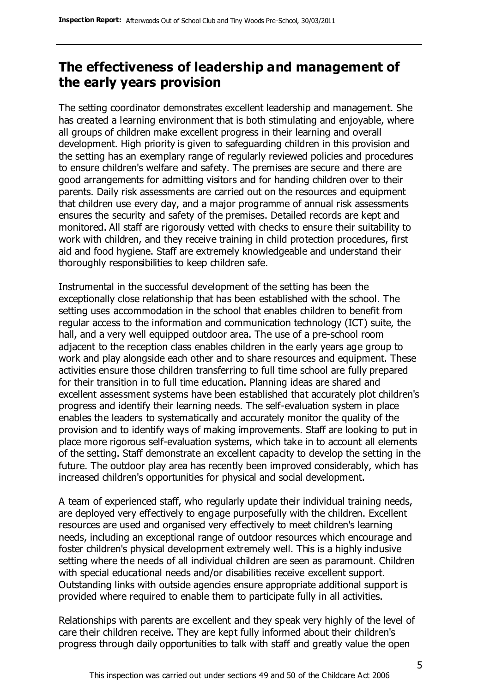## **The effectiveness of leadership and management of the early years provision**

The setting coordinator demonstrates excellent leadership and management. She has created a learning environment that is both stimulating and enjoyable, where all groups of children make excellent progress in their learning and overall development. High priority is given to safeguarding children in this provision and the setting has an exemplary range of regularly reviewed policies and procedures to ensure children's welfare and safety. The premises are secure and there are good arrangements for admitting visitors and for handing children over to their parents. Daily risk assessments are carried out on the resources and equipment that children use every day, and a major programme of annual risk assessments ensures the security and safety of the premises. Detailed records are kept and monitored. All staff are rigorously vetted with checks to ensure their suitability to work with children, and they receive training in child protection procedures, first aid and food hygiene. Staff are extremely knowledgeable and understand their thoroughly responsibilities to keep children safe.

Instrumental in the successful development of the setting has been the exceptionally close relationship that has been established with the school. The setting uses accommodation in the school that enables children to benefit from regular access to the information and communication technology (ICT) suite, the hall, and a very well equipped outdoor area. The use of a pre-school room adjacent to the reception class enables children in the early years age group to work and play alongside each other and to share resources and equipment. These activities ensure those children transferring to full time school are fully prepared for their transition in to full time education. Planning ideas are shared and excellent assessment systems have been established that accurately plot children's progress and identify their learning needs. The self-evaluation system in place enables the leaders to systematically and accurately monitor the quality of the provision and to identify ways of making improvements. Staff are looking to put in place more rigorous self-evaluation systems, which take in to account all elements of the setting. Staff demonstrate an excellent capacity to develop the setting in the future. The outdoor play area has recently been improved considerably, which has increased children's opportunities for physical and social development.

A team of experienced staff, who regularly update their individual training needs, are deployed very effectively to engage purposefully with the children. Excellent resources are used and organised very effectively to meet children's learning needs, including an exceptional range of outdoor resources which encourage and foster children's physical development extremely well. This is a highly inclusive setting where the needs of all individual children are seen as paramount. Children with special educational needs and/or disabilities receive excellent support. Outstanding links with outside agencies ensure appropriate additional support is provided where required to enable them to participate fully in all activities.

Relationships with parents are excellent and they speak very highly of the level of care their children receive. They are kept fully informed about their children's progress through daily opportunities to talk with staff and greatly value the open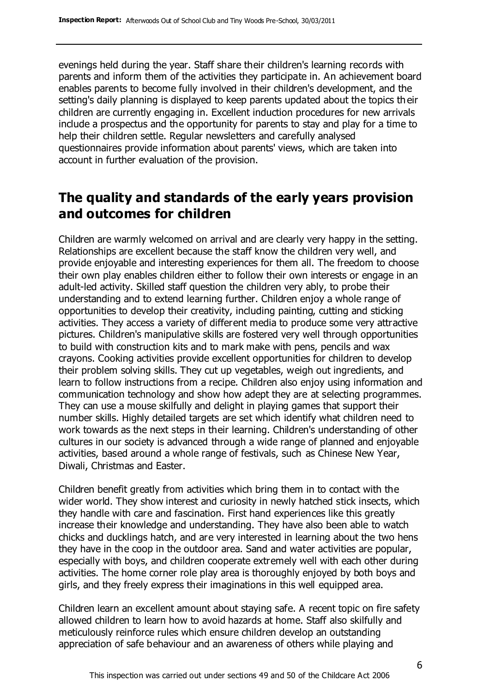evenings held during the year. Staff share their children's learning records with parents and inform them of the activities they participate in. An achievement board enables parents to become fully involved in their children's development, and the setting's daily planning is displayed to keep parents updated about the topics th eir children are currently engaging in. Excellent induction procedures for new arrivals include a prospectus and the opportunity for parents to stay and play for a time to help their children settle. Regular newsletters and carefully analysed questionnaires provide information about parents' views, which are taken into account in further evaluation of the provision.

#### **The quality and standards of the early years provision and outcomes for children**

Children are warmly welcomed on arrival and are clearly very happy in the setting. Relationships are excellent because the staff know the children very well, and provide enjoyable and interesting experiences for them all. The freedom to choose their own play enables children either to follow their own interests or engage in an adult-led activity. Skilled staff question the children very ably, to probe their understanding and to extend learning further. Children enjoy a whole range of opportunities to develop their creativity, including painting, cutting and sticking activities. They access a variety of different media to produce some very attractive pictures. Children's manipulative skills are fostered very well through opportunities to build with construction kits and to mark make with pens, pencils and wax crayons. Cooking activities provide excellent opportunities for children to develop their problem solving skills. They cut up vegetables, weigh out ingredients, and learn to follow instructions from a recipe. Children also enjoy using information and communication technology and show how adept they are at selecting programmes. They can use a mouse skilfully and delight in playing games that support their number skills. Highly detailed targets are set which identify what children need to work towards as the next steps in their learning. Children's understanding of other cultures in our society is advanced through a wide range of planned and enjoyable activities, based around a whole range of festivals, such as Chinese New Year, Diwali, Christmas and Easter.

Children benefit greatly from activities which bring them in to contact with the wider world. They show interest and curiosity in newly hatched stick insects, which they handle with care and fascination. First hand experiences like this greatly increase their knowledge and understanding. They have also been able to watch chicks and ducklings hatch, and are very interested in learning about the two hens they have in the coop in the outdoor area. Sand and water activities are popular, especially with boys, and children cooperate extremely well with each other during activities. The home corner role play area is thoroughly enjoyed by both boys and girls, and they freely express their imaginations in this well equipped area.

Children learn an excellent amount about staying safe. A recent topic on fire safety allowed children to learn how to avoid hazards at home. Staff also skilfully and meticulously reinforce rules which ensure children develop an outstanding appreciation of safe behaviour and an awareness of others while playing and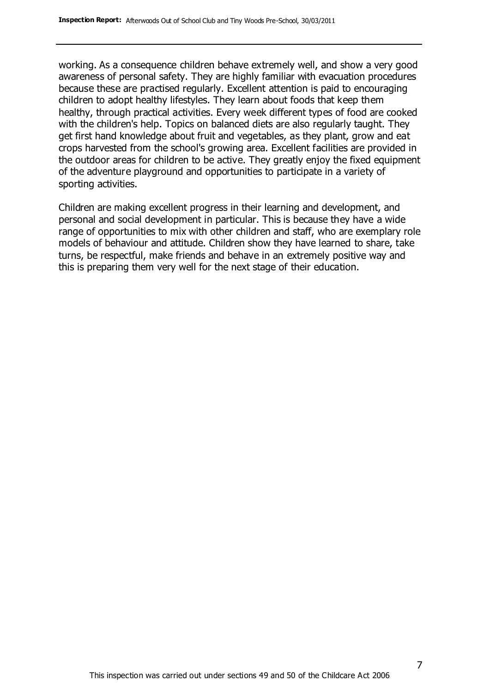working. As a consequence children behave extremely well, and show a very good awareness of personal safety. They are highly familiar with evacuation procedures because these are practised regularly. Excellent attention is paid to encouraging children to adopt healthy lifestyles. They learn about foods that keep them healthy, through practical activities. Every week different types of food are cooked with the children's help. Topics on balanced diets are also regularly taught. They get first hand knowledge about fruit and vegetables, as they plant, grow and eat crops harvested from the school's growing area. Excellent facilities are provided in the outdoor areas for children to be active. They greatly enjoy the fixed equipment of the adventure playground and opportunities to participate in a variety of sporting activities.

Children are making excellent progress in their learning and development, and personal and social development in particular. This is because they have a wide range of opportunities to mix with other children and staff, who are exemplary role models of behaviour and attitude. Children show they have learned to share, take turns, be respectful, make friends and behave in an extremely positive way and this is preparing them very well for the next stage of their education.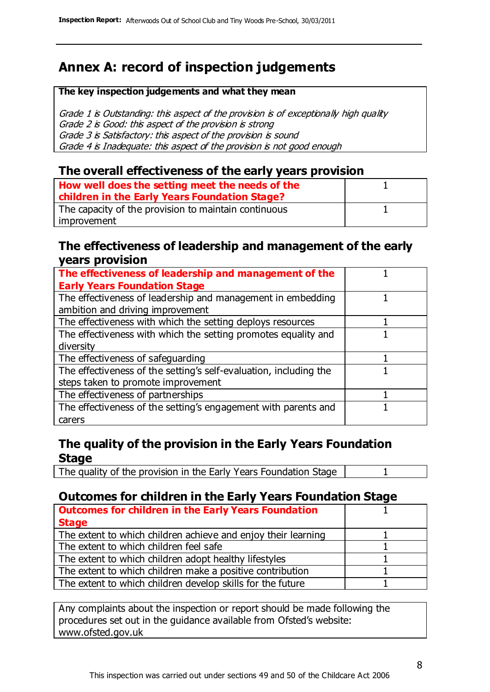# **Annex A: record of inspection judgements**

#### **The key inspection judgements and what they mean**

Grade 1 is Outstanding: this aspect of the provision is of exceptionally high quality Grade 2 is Good: this aspect of the provision is strong Grade 3 is Satisfactory: this aspect of the provision is sound Grade 4 is Inadequate: this aspect of the provision is not good enough

#### **The overall effectiveness of the early years provision**

| How well does the setting meet the needs of the<br>children in the Early Years Foundation Stage? |  |
|--------------------------------------------------------------------------------------------------|--|
| The capacity of the provision to maintain continuous                                             |  |
| improvement                                                                                      |  |

#### **The effectiveness of leadership and management of the early years provision**

| The effectiveness of leadership and management of the             |  |
|-------------------------------------------------------------------|--|
| <b>Early Years Foundation Stage</b>                               |  |
| The effectiveness of leadership and management in embedding       |  |
| ambition and driving improvement                                  |  |
| The effectiveness with which the setting deploys resources        |  |
| The effectiveness with which the setting promotes equality and    |  |
| diversity                                                         |  |
| The effectiveness of safeguarding                                 |  |
| The effectiveness of the setting's self-evaluation, including the |  |
| steps taken to promote improvement                                |  |
| The effectiveness of partnerships                                 |  |
| The effectiveness of the setting's engagement with parents and    |  |
| carers                                                            |  |

#### **The quality of the provision in the Early Years Foundation Stage**

The quality of the provision in the Early Years Foundation Stage | 1

#### **Outcomes for children in the Early Years Foundation Stage**

| <b>Outcomes for children in the Early Years Foundation</b>    |  |
|---------------------------------------------------------------|--|
| <b>Stage</b>                                                  |  |
| The extent to which children achieve and enjoy their learning |  |
| The extent to which children feel safe                        |  |
| The extent to which children adopt healthy lifestyles         |  |
| The extent to which children make a positive contribution     |  |
| The extent to which children develop skills for the future    |  |

Any complaints about the inspection or report should be made following the procedures set out in the guidance available from Ofsted's website: www.ofsted.gov.uk